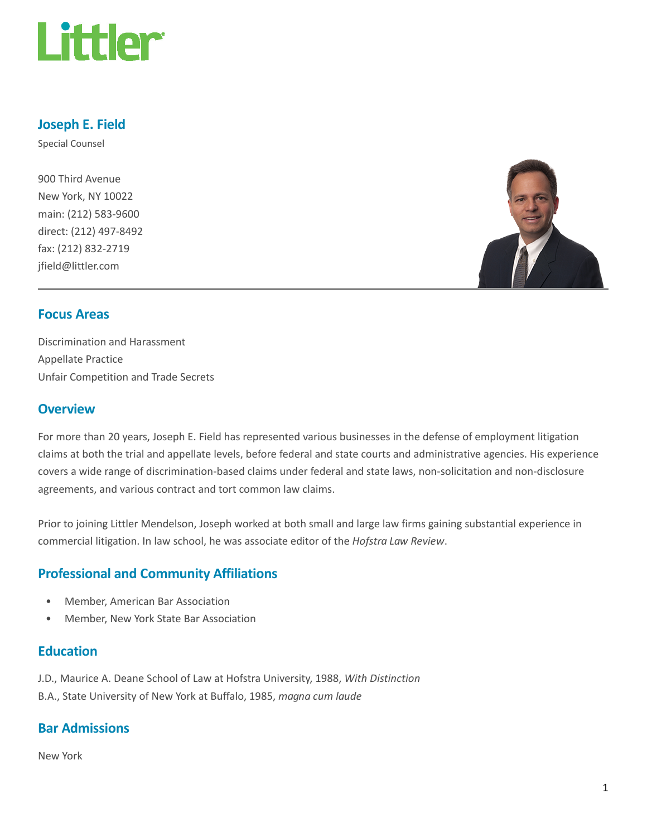

### Joseph E. Field

Special Counsel

900 Third Avenue New York, NY 10022 main: (212) 583-9600 direct: (212) 497-8492 fax: (212) 832-2719 jfield@littler.com



#### Focus Areas

Discrimination and Harassment Appellate Practice Unfair Competition and Trade Secrets

#### **Overview**

For more than 20 years, Joseph E. Field has represented various businesses in the defense of employment litigation claims at both the trial and appellate levels, before federal and state courts and administrative agencies. His experience covers a wide range of discrimination-based claims under federal and state laws, non-solicitation and non-disclosure agreements, and various contract and tort common law claims.

Prior to joining Littler Mendelson, Joseph worked at both small and large law firms gaining substantial experience in commercial litigation. In law school, he was associate editor of the Hofstra Law Review.

### Professional and Community Affiliations

- Member, American Bar Association
- Member, New York State Bar Association

#### **Education**

J.D., Maurice A. Deane School of Law at Hofstra University, 1988, With Distinction B.A., State University of New York at Buffalo, 1985, magna cum laude

### Bar Admissions

New York